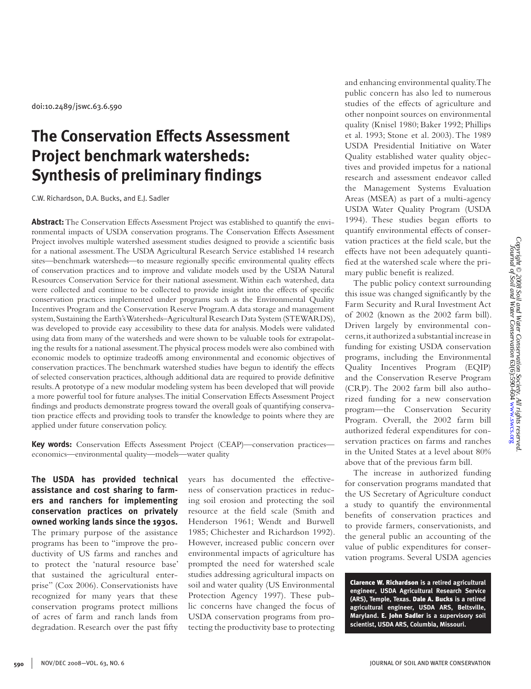doi:10.2489/jswc.63.6.590

# **The Conservation Effects Assessment Project benchmark watersheds: Synthesis of preliminary findings**

C.W. Richardson, D.A. Bucks, and E.J. Sadler

**Abstract:** The Conservation Effects Assessment Project was established to quantify the environmental impacts of USDA conservation programs. The Conservation Effects Assessment Project involves multiple watershed assessment studies designed to provide a scientific basis for a national assessment. The USDA Agricultural Research Service established 14 research sites—benchmark watersheds—to measure regionally specific environmental quality effects of conservation practices and to improve and validate models used by the USDA Natural Resources Conservation Service for their national assessment. Within each watershed, data were collected and continue to be collected to provide insight into the effects of specific conservation practices implemented under programs such as the Environmental Quality Incentives Program and the Conservation Reserve Program. A data storage and management system, Sustaining the Earth's Watersheds–Agricultural Research Data System (STEWARDS), was developed to provide easy accessibility to these data for analysis. Models were validated using data from many of the watersheds and were shown to be valuable tools for extrapolating the results for a national assessment. The physical process models were also combined with economic models to optimize tradeoffs among environmental and economic objectives of conservation practices. The benchmark watershed studies have begun to identify the effects of selected conservation practices, although additional data are required to provide definitive results. A prototype of a new modular modeling system has been developed that will provide a more powerful tool for future analyses. The initial Conservation Effects Assessment Project findings and products demonstrate progress toward the overall goals of quantifying conservation practice effects and providing tools to transfer the knowledge to points where they are applied under future conservation policy.

**Key words:** Conservation Effects Assessment Project (CEAP)—conservation practices economics—environmental quality—models—water quality

**The USDA has provided technical assistance and cost sharing to farmers and ranchers for implementing conservation practices on privately owned working lands since the 1930s.**  The primary purpose of the assistance programs has been to "improve the productivity of US farms and ranches and to protect the 'natural resource base' that sustained the agricultural enterprise" (Cox 2006). Conservationists have recognized for many years that these conservation programs protect millions of acres of farm and ranch lands from degradation. Research over the past fifty

years has documented the effectiveness of conservation practices in reducing soil erosion and protecting the soil resource at the field scale (Smith and Henderson 1961; Wendt and Burwell 1985; Chichester and Richardson 1992). However, increased public concern over environmental impacts of agriculture has prompted the need for watershed scale studies addressing agricultural impacts on soil and water quality (US Environmental Protection Agency 1997). These public concerns have changed the focus of USDA conservation programs from protecting the productivity base to protecting and enhancing environmental quality. The public concern has also led to numerous studies of the effects of agriculture and other nonpoint sources on environmental quality (Knisel 1980; Baker 1992; Phillips et al. 1993; Stone et al. 2003). The 1989 USDA Presidential Initiative on Water Quality established water quality objectives and provided impetus for a national research and assessment endeavor called the Management Systems Evaluation Areas (MSEA) as part of a multi-agency USDA Water Quality Program (USDA 1994). These studies began efforts to quantify environmental effects of conservation practices at the field scale, but the effects have not been adequately quantified at the watershed scale where the primary public benefit is realized.

The public policy context surrounding this issue was changed significantly by the Farm Security and Rural Investment Act of 2002 (known as the 2002 farm bill). Driven largely by environmental concerns, it authorized a substantial increase in funding for existing USDA conservation programs, including the Environmental Quality Incentives Program (EQIP) and the Conservation Reserve Program (CRP). The 2002 farm bill also authorized funding for a new conservation program—the Conservation Security Program. Overall, the 2002 farm bill authorized federal expenditures for conservation practices on farms and ranches in the United States at a level about 80% above that of the previous farm bill.

The increase in authorized funding for conservation programs mandated that the US Secretary of Agriculture conduct a study to quantify the environmental benefits of conservation practices and to provide farmers, conservationists, and the general public an accounting of the value of public expenditures for conservation programs. Several USDA agencies

Clarence W. Richardson **is a retired agricultural engineer, USDA Agricultural Research Service (ARS), Temple, Texas.** Dale A. Bucks **is a retired agricultural engineer, USDA ARS, Beltsville, Maryland.** E. John Sadler **is a supervisory soil scientist, USDA ARS, Columbia, Missouri.**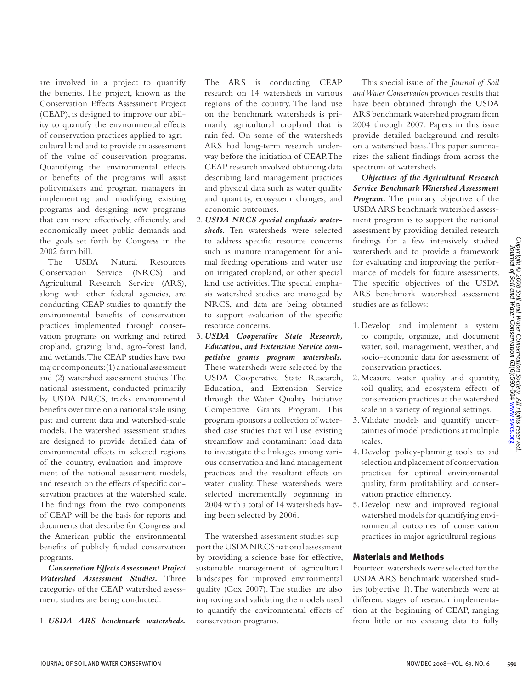are involved in a project to quantify the benefits. The project, known as the Conservation Effects Assessment Project (CEAP), is designed to improve our ability to quantify the environmental effects of conservation practices applied to agricultural land and to provide an assessment of the value of conservation programs. Quantifying the environmental effects or benefits of the programs will assist policymakers and program managers in implementing and modifying existing programs and designing new programs that can more effectively, efficiently, and economically meet public demands and the goals set forth by Congress in the 2002 farm bill.

The USDA Natural Resources Conservation Service (NRCS) and Agricultural Research Service (ARS), along with other federal agencies, are conducting CEAP studies to quantify the environmental benefits of conservation practices implemented through conservation programs on working and retired cropland, grazing land, agro-forest land, and wetlands. The CEAP studies have two major components: (1) a national assessment and (2) watershed assessment studies. The national assessment, conducted primarily by USDA NRCS, tracks environmental benefits over time on a national scale using past and current data and watershed-scale models. The watershed assessment studies are designed to provide detailed data of environmental effects in selected regions of the country, evaluation and improvement of the national assessment models, and research on the effects of specific conservation practices at the watershed scale. The findings from the two components of CEAP will be the basis for reports and documents that describe for Congress and the American public the environmental benefits of publicly funded conservation programs.

*Conservation Effects Assessment Project Watershed Assessment Studies.* Three categories of the CEAP watershed assessment studies are being conducted:

1. *USDA ARS benchmark watersheds.*

The ARS is conducting CEAP research on 14 watersheds in various regions of the country. The land use on the benchmark watersheds is primarily agricultural cropland that is rain-fed. On some of the watersheds ARS had long-term research underway before the initiation of CEAP. The CEAP research involved obtaining data describing land management practices and physical data such as water quality and quantity, ecosystem changes, and economic outcomes.

- 2. *USDA NRCS special emphasis watersheds.* Ten watersheds were selected to address specific resource concerns such as manure management for animal feeding operations and water use on irrigated cropland, or other special land use activities. The special emphasis watershed studies are managed by NRCS, and data are being obtained to support evaluation of the specific resource concerns.
- 3. *USDA Cooperative State Research, Education, and Extension Service competitive grants program watersheds.* These watersheds were selected by the USDA Cooperative State Research, Education, and Extension Service through the Water Quality Initiative Competitive Grants Program. This program sponsors a collection of watershed case studies that will use existing streamflow and contaminant load data to investigate the linkages among various conservation and land management practices and the resultant effects on water quality. These watersheds were selected incrementally beginning in 2004 with a total of 14 watersheds having been selected by 2006.

The watershed assessment studies support the USDA NRCS national assessment by providing a science base for effective, sustainable management of agricultural landscapes for improved environmental quality (Cox 2007). The studies are also improving and validating the models used to quantify the environmental effects of conservation programs.

This special issue of the *Journal of Soil and Water Conservation* provides results that have been obtained through the USDA ARS benchmark watershed program from 2004 through 2007. Papers in this issue provide detailed background and results on a watershed basis. This paper summarizes the salient findings from across the spectrum of watersheds.

*Objectives of the Agricultural Research Service Benchmark Watershed Assessment Program.* The primary objective of the USDA ARS benchmark watershed assessment program is to support the national assessment by providing detailed research findings for a few intensively studied watersheds and to provide a framework for evaluating and improving the performance of models for future assessments. The specific objectives of the USDA ARS benchmark watershed assessment studies are as follows:

- 1. Develop and implement a system to compile, organize, and document water, soil, management, weather, and socio-economic data for assessment of conservation practices.
- 2. Measure water quality and quantity, soil quality, and ecosystem effects of conservation practices at the watershed scale in a variety of regional settings.
- 3. Validate models and quantify uncertainties of model predictions at multiple scales.
- 4. Develop policy-planning tools to aid selection and placement of conservation practices for optimal environmental quality, farm profitability, and conservation practice efficiency.
- 5. Develop new and improved regional watershed models for quantifying environmental outcomes of conservation practices in major agricultural regions.

#### Materials and Methods

Fourteen watersheds were selected for the USDA ARS benchmark watershed studies (objective 1). The watersheds were at different stages of research implementation at the beginning of CEAP, ranging from little or no existing data to fully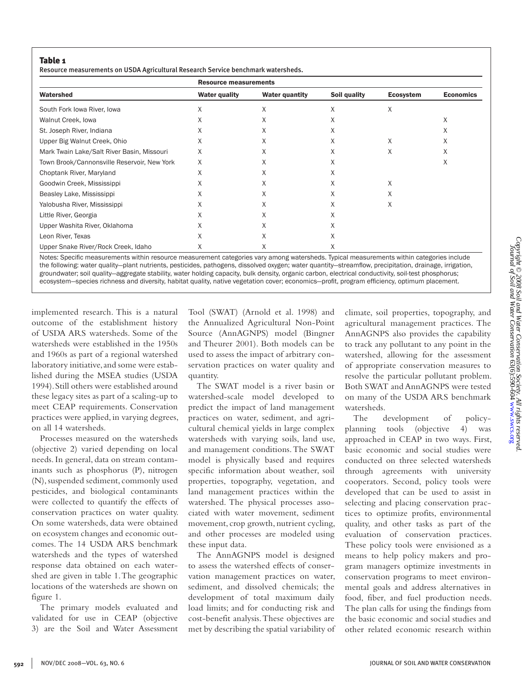#### Table 1

Resource measurements on USDA Agricultural Research Service benchmark watersheds.

| Watershed                                   | <b>Resource measurements</b> |                       |              |                  |                  |
|---------------------------------------------|------------------------------|-----------------------|--------------|------------------|------------------|
|                                             | <b>Water quality</b>         | <b>Water quantity</b> | Soil quality | <b>Ecosystem</b> | <b>Economics</b> |
| South Fork Iowa River, Iowa                 | Χ                            | Χ                     | X            | X                |                  |
| Walnut Creek, Iowa                          | X                            | X.                    | X            |                  | Χ                |
| St. Joseph River, Indiana                   | X                            | Χ                     | X            |                  | X                |
| Upper Big Walnut Creek, Ohio                | X                            | Χ                     | Χ            | X                | X                |
| Mark Twain Lake/Salt River Basin, Missouri  | X                            | Χ                     | X            | Χ                | X                |
| Town Brook/Cannonsville Reservoir, New York | X                            | Χ                     | X            |                  | X                |
| Choptank River, Maryland                    | Χ                            | Χ                     | X            |                  |                  |
| Goodwin Creek, Mississippi                  | X                            | Χ                     | X            | X                |                  |
| Beasley Lake, Mississippi                   | Χ                            | Χ                     | Χ            | л                |                  |
| Yalobusha River, Mississippi                | X                            | Χ                     | X            | X                |                  |
| Little River, Georgia                       | X                            | Χ                     | X            |                  |                  |
| Upper Washita River, Oklahoma               | X                            | Χ                     | X            |                  |                  |
| Leon River, Texas                           | X                            | Χ                     | Χ            |                  |                  |
| Upper Snake River/Rock Creek, Idaho         | X                            | X                     | X            |                  |                  |

Notes: Specific measurements within resource measurement categories vary among watersheds. Typical measurements within categories include the following: water quality—plant nutrients, pesticides, pathogens, dissolved oxygen; water quantity—streamflow, precipitation, drainage, irrigation, groundwater; soil quality—aggregate stability, water holding capacity, bulk density, organic carbon, electrical conductivity, soil-test phosphorus; ecosystem—species richness and diversity, habitat quality, native vegetation cover; economics—profit, program efficiency, optimum placement.

implemented research. This is a natural outcome of the establishment history of USDA ARS watersheds. Some of the watersheds were established in the 1950s and 1960s as part of a regional watershed laboratory initiative, and some were established during the MSEA studies (USDA 1994). Still others were established around these legacy sites as part of a scaling-up to meet CEAP requirements. Conservation practices were applied, in varying degrees, on all 14 watersheds.

Processes measured on the watersheds (objective 2) varied depending on local needs. In general, data on stream contaminants such as phosphorus (P), nitrogen (N), suspended sediment, commonly used pesticides, and biological contaminants were collected to quantify the effects of conservation practices on water quality. On some watersheds, data were obtained on ecosystem changes and economic outcomes. The 14 USDA ARS benchmark watersheds and the types of watershed response data obtained on each watershed are given in table 1. The geographic locations of the watersheds are shown on figure 1.

The primary models evaluated and validated for use in CEAP (objective 3) are the Soil and Water Assessment Tool (SWAT) (Arnold et al. 1998) and the Annualized Agricultural Non-Point Source (AnnAGNPS) model (Bingner and Theurer 2001). Both models can be used to assess the impact of arbitrary conservation practices on water quality and quantity.

The SWAT model is a river basin or watershed-scale model developed to predict the impact of land management practices on water, sediment, and agricultural chemical yields in large complex watersheds with varying soils, land use, and management conditions. The SWAT model is physically based and requires specific information about weather, soil properties, topography, vegetation, and land management practices within the watershed. The physical processes associated with water movement, sediment movement, crop growth, nutrient cycling, and other processes are modeled using these input data.

The AnnAGNPS model is designed to assess the watershed effects of conservation management practices on water, sediment, and dissolved chemicals; the development of total maximum daily load limits; and for conducting risk and cost-benefit analysis. These objectives are met by describing the spatial variability of climate, soil properties, topography, and agricultural management practices. The AnnAGNPS also provides the capability to track any pollutant to any point in the watershed, allowing for the assessment of appropriate conservation measures to resolve the particular pollutant problem. Both SWAT and AnnAGNPS were tested on many of the USDA ARS benchmark watersheds.

The development of policyplanning tools (objective 4) was approached in CEAP in two ways. First, basic economic and social studies were conducted on three selected watersheds through agreements with university cooperators. Second, policy tools were developed that can be used to assist in selecting and placing conservation practices to optimize profits, environmental quality, and other tasks as part of the evaluation of conservation practices. These policy tools were envisioned as a means to help policy makers and program managers optimize investments in conservation programs to meet environmental goals and address alternatives in food, fiber, and fuel production needs. The plan calls for using the findings from the basic economic and social studies and other related economic research within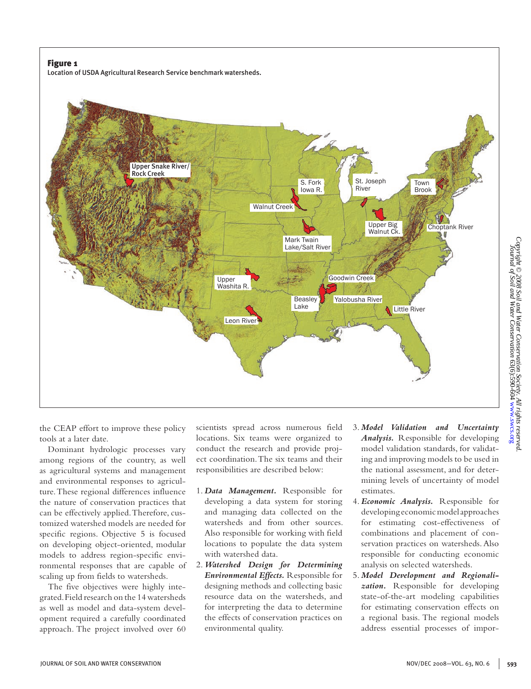#### Figure 1

Location of USDA Agricultural Research Service benchmark watersheds.



the CEAP effort to improve these policy tools at a later date.

Dominant hydrologic processes vary among regions of the country, as well as agricultural systems and management and environmental responses to agriculture. These regional differences influence the nature of conservation practices that can be effectively applied. Therefore, customized watershed models are needed for specific regions. Objective 5 is focused on developing object-oriented, modular models to address region-specific environmental responses that are capable of scaling up from fields to watersheds.

The five objectives were highly integrated. Field research on the 14 watersheds as well as model and data-system development required a carefully coordinated approach. The project involved over 60 scientists spread across numerous field locations. Six teams were organized to conduct the research and provide project coordination. The six teams and their responsibilities are described below:

- 1. *Data Management.* Responsible for developing a data system for storing and managing data collected on the watersheds and from other sources. Also responsible for working with field locations to populate the data system with watershed data.
- 2. *Watershed Design for Determining Environmental Effects.* Responsible for designing methods and collecting basic resource data on the watersheds, and for interpreting the data to determine the effects of conservation practices on environmental quality.
- 3. *Model Validation and Uncertainty Analysis.* Responsible for developing model validation standards, for validating and improving models to be used in the national assessment, and for determining levels of uncertainty of model estimates.
- 4. *Economic Analysis.* Responsible for developing economic model approaches for estimating cost-effectiveness of combinations and placement of conservation practices on watersheds. Also responsible for conducting economic analysis on selected watersheds.
- 5. *Model Development and Regionali*zation. Responsible for developing state-of-the-art modeling capabilities for estimating conservation effects on a regional basis. The regional models address essential processes of impor-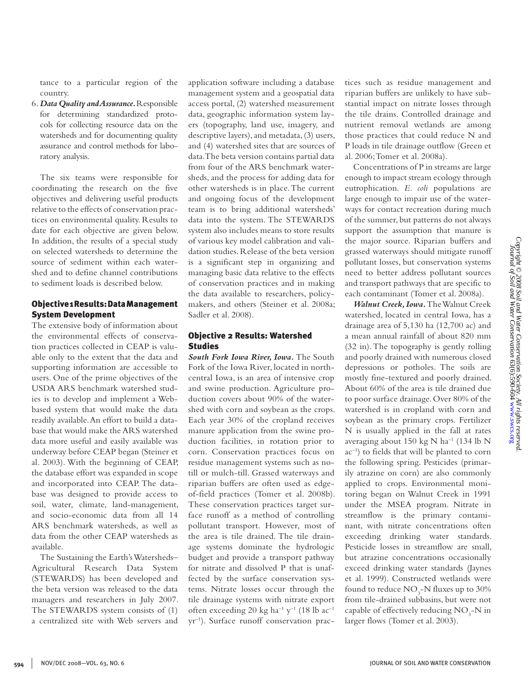tance to a particular region of the country.

6. *Data Quality and Assurance.* Responsible for determining standardized protocols for collecting resource data on the watersheds and for documenting quality assurance and control methods for laboratory analysis.

The six teams were responsible for coordinating the research on the five objectives and delivering useful products relative to the effects of conservation practices on environmental quality. Results to date for each objective are given below. In addition, the results of a special study on selected watersheds to determine the source of sediment within each watershed and to define channel contributions to sediment loads is described below.

#### Objective 1 Results: Data Management System Development

The extensive body of information about the environmental effects of conservation practices collected in CEAP is valuable only to the extent that the data and supporting information are accessible to users. One of the prime objectives of the USDA ARS benchmark watershed studies is to develop and implement a Webbased system that would make the data readily available. An effort to build a database that would make the ARS watershed data more useful and easily available was underway before CEAP began (Steiner et al. 2003). With the beginning of CEAP, the database effort was expanded in scope and incorporated into CEAP. The database was designed to provide access to soil, water, climate, land-management, and socio-economic data from all 14 ARS benchmark watersheds, as well as data from the other CEAP watersheds as available.

The Sustaining the Earth's Watersheds– Agricultural Research Data System (STEWARDS) has been developed and the beta version was released to the data managers and researchers in July 2007. The STEWARDS system consists of (1) a centralized site with Web servers and

application software including a database management system and a geospatial data access portal, (2) watershed measurement data, geographic information system layers (topography, land use, imagery, and descriptive layers), and metadata, (3) users, and (4) watershed sites that are sources of data. The beta version contains partial data from four of the ARS benchmark watersheds, and the process for adding data for other watersheds is in place. The current and ongoing focus of the development team is to bring additional watersheds' data into the system. The STEWARDS system also includes means to store results of various key model calibration and validation studies. Release of the beta version is a significant step in organizing and managing basic data relative to the effects of conservation practices and in making the data available to researchers, policymakers, and others (Steiner et al. 2008a; Sadler et al. 2008).

# Objective 2 Results: Watershed Studies

*South Fork Iowa River, Iowa.* The South Fork of the Iowa River, located in northcentral Iowa, is an area of intensive crop and swine production. Agriculture production covers about 90% of the watershed with corn and soybean as the crops. Each year 30% of the cropland receives manure application from the swine production facilities, in rotation prior to corn. Conservation practices focus on residue management systems such as notill or mulch-till. Grassed waterways and riparian buffers are often used as edgeof-field practices (Tomer et al. 2008b). These conservation practices target surface runoff as a method of controlling pollutant transport. However, most of the area is tile drained. The tile drainage systems dominate the hydrologic budget and provide a transport pathway for nitrate and dissolved P that is unaffected by the surface conservation systems. Nitrate losses occur through the tile drainage systems with nitrate export often exceeding 20 kg ha<sup>-1</sup> y<sup>-1</sup> (18 lb ac<sup>-1</sup>) yr–1). Surface runoff conservation practices such as residue management and riparian buffers are unlikely to have substantial impact on nitrate losses through the tile drains. Controlled drainage and nutrient removal wetlands are among those practices that could reduce N and P loads in tile drainage outflow (Green et al. 2006; Tomer et al. 2008a).

Concentrations of P in streams are large enough to impact stream ecology through eutrophication. *E. coli* populations are large enough to impair use of the waterways for contact recreation during much of the summer, but patterns do not always support the assumption that manure is the major source. Riparian buffers and grassed waterways should mitigate runoff pollutant losses, but conservation systems need to better address pollutant sources and transport pathways that are specific to each contaminant (Tomer et al. 2008a).

*Walnut Creek, Iowa.* The Walnut Creek watershed, located in central Iowa, has a drainage area of 5,130 ha (12,700 ac) and a mean annual rainfall of about 820 mm (32 in). The topography is gently rolling and poorly drained with numerous closed depressions or potholes. The soils are mostly fine-textured and poorly drained. About 60% of the area is tile drained due to poor surface drainage. Over 80% of the watershed is in cropland with corn and soybean as the primary crops. Fertilizer N is usually applied in the fall at rates averaging about 150 kg N ha<sup>-1</sup> (134 lb N  $ac^{-1}$ ) to fields that will be planted to corn the following spring. Pesticides (primarily atrazine on corn) are also commonly applied to crops. Environmental monitoring began on Walnut Creek in 1991 under the MSEA program. Nitrate in streamflow is the primary contaminant, with nitrate concentrations often exceeding drinking water standards. Pesticide losses in streamflow are small, but atrazine concentrations occasionally exceed drinking water standards (Jaynes et al. 1999). Constructed wetlands were found to reduce  $NO_3$ -N fluxes up to 30% from tile-drained subbasins, but were not capable of effectively reducing  $NO<sub>3</sub>-N$  in larger flows (Tomer et al. 2003).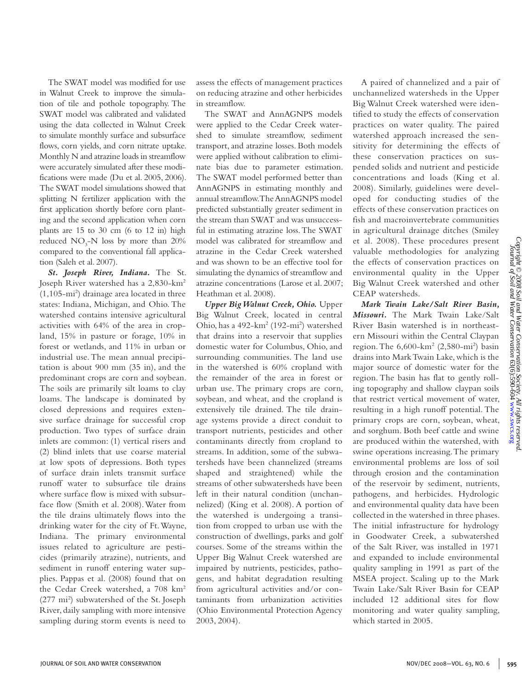The SWAT model was modified for use in Walnut Creek to improve the simulation of tile and pothole topography. The SWAT model was calibrated and validated using the data collected in Walnut Creek to simulate monthly surface and subsurface flows, corn yields, and corn nitrate uptake. Monthly N and atrazine loads in streamflow were accurately simulated after these modifications were made (Du et al. 2005, 2006). The SWAT model simulations showed that splitting N fertilizer application with the first application shortly before corn planting and the second application when corn plants are 15 to 30 cm (6 to 12 in) high reduced  $NO<sub>3</sub>-N$  loss by more than 20% compared to the conventional fall application (Saleh et al. 2007).

*St. Joseph River, Indiana.* The St. Joseph River watershed has a 2,830-km2 (1,105-mi2 ) drainage area located in three states: Indiana, Michigan, and Ohio. The watershed contains intensive agricultural activities with 64% of the area in cropland, 15% in pasture or forage, 10% in forest or wetlands, and 11% in urban or industrial use. The mean annual precipitation is about 900 mm (35 in), and the predominant crops are corn and soybean. The soils are primarily silt loams to clay loams. The landscape is dominated by closed depressions and requires extensive surface drainage for successful crop production. Two types of surface drain inlets are common: (1) vertical risers and (2) blind inlets that use coarse material at low spots of depressions. Both types of surface drain inlets transmit surface runoff water to subsurface tile drains where surface flow is mixed with subsurface flow (Smith et al. 2008). Water from the tile drains ultimately flows into the drinking water for the city of Ft. Wayne, Indiana. The primary environmental issues related to agriculture are pesticides (primarily atrazine), nutrients, and sediment in runoff entering water supplies. Pappas et al. (2008) found that on the Cedar Creek watershed, a 708 km2 (277 mi2 ) subwatershed of the St. Joseph River, daily sampling with more intensive sampling during storm events is need to

assess the effects of management practices on reducing atrazine and other herbicides in streamflow.

The SWAT and AnnAGNPS models were applied to the Cedar Creek watershed to simulate streamflow, sediment transport, and atrazine losses. Both models were applied without calibration to eliminate bias due to parameter estimation. The SWAT model performed better than AnnAGNPS in estimating monthly and annual streamflow. The AnnAGNPS model predicted substantially greater sediment in the stream than SWAT and was unsuccessful in estimating atrazine loss. The SWAT model was calibrated for streamflow and atrazine in the Cedar Creek watershed and was shown to be an effective tool for simulating the dynamics of streamflow and atrazine concentrations (Larose et al. 2007; Heathman et al. 2008).

*Upper Big Walnut Creek, Ohio.* Upper Big Walnut Creek, located in central Ohio, has a 492-km<sup>2</sup> (192-mi<sup>2</sup>) watershed that drains into a reservoir that supplies domestic water for Columbus, Ohio, and surrounding communities. The land use in the watershed is 60% cropland with the remainder of the area in forest or urban use. The primary crops are corn, soybean, and wheat, and the cropland is extensively tile drained. The tile drainage systems provide a direct conduit to transport nutrients, pesticides and other contaminants directly from cropland to streams. In addition, some of the subwatersheds have been channelized (streams shaped and straightened) while the streams of other subwatersheds have been left in their natural condition (unchannelized) (King et al. 2008). A portion of the watershed is undergoing a transition from cropped to urban use with the construction of dwellings, parks and golf courses. Some of the streams within the Upper Big Walnut Creek watershed are impaired by nutrients, pesticides, pathogens, and habitat degradation resulting from agricultural activities and/or contaminants from urbanization activities (Ohio Environmental Protection Agency 2003, 2004).

A paired of channelized and a pair of unchannelized watersheds in the Upper Big Walnut Creek watershed were identified to study the effects of conservation practices on water quality. The paired watershed approach increased the sensitivity for determining the effects of these conservation practices on suspended solids and nutrient and pesticide concentrations and loads (King et al. 2008). Similarly, guidelines were developed for conducting studies of the effects of these conservation practices on fish and macroinvertebrate communities in agricultural drainage ditches (Smiley et al. 2008). These procedures present valuable methodologies for analyzing the effects of conservation practices on environmental quality in the Upper Big Walnut Creek watershed and other CEAP watersheds.

*Mark Twain Lake/Salt River Basin, Missouri.* The Mark Twain Lake/Salt River Basin watershed is in northeastern Missouri within the Central Claypan region. The  $6,600 - km^2 (2,580 - mi^2)$  basin drains into Mark Twain Lake, which is the major source of domestic water for the region. The basin has flat to gently rolling topography and shallow claypan soils that restrict vertical movement of water, resulting in a high runoff potential. The primary crops are corn, soybean, wheat, and sorghum. Both beef cattle and swine are produced within the watershed, with swine operations increasing. The primary environmental problems are loss of soil through erosion and the contamination of the reservoir by sediment, nutrients, pathogens, and herbicides. Hydrologic and environmental quality data have been collected in the watershed in three phases. The initial infrastructure for hydrology in Goodwater Creek, a subwatershed of the Salt River, was installed in 1971 and expanded to include environmental quality sampling in 1991 as part of the MSEA project. Scaling up to the Mark Twain Lake/Salt River Basin for CEAP included 12 additional sites for flow monitoring and water quality sampling, which started in 2005.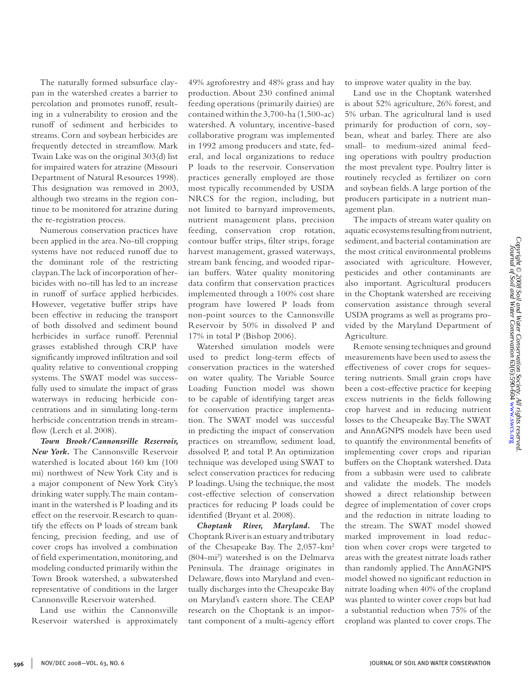Copyright © 2008 Soil and Water Conservation Society. All rights reserved<br>Uournal of Soil and Water Conservation 63(6):590-604 www.swcs.org *Copyright © 2008 Soil and Water Conservation Society. All rights reserved.* Journal of Soil and Water Conservation 63(6):590-604 [www.swcs.org](http://www.swcs.org)

The naturally formed subsurface claypan in the watershed creates a barrier to percolation and promotes runoff, resulting in a vulnerability to erosion and the runoff of sediment and herbicides to streams. Corn and soybean herbicides are frequently detected in streamflow. Mark Twain Lake was on the original 303(d) list for impaired waters for atrazine (Missouri Department of Natural Resources 1998). This designation was removed in 2003, although two streams in the region continue to be monitored for atrazine during the re-registration process.

Numerous conservation practices have been applied in the area. No-till cropping systems have not reduced runoff due to the dominant role of the restricting claypan. The lack of incorporation of herbicides with no-till has led to an increase in runoff of surface applied herbicides. However, vegetative buffer strips have been effective in reducing the transport of both dissolved and sediment bound herbicides in surface runoff. Perennial grasses established through CRP have significantly improved infiltration and soil quality relative to conventional cropping systems. The SWAT model was successfully used to simulate the impact of grass waterways in reducing herbicide concentrations and in simulating long-term herbicide concentration trends in streamflow (Lerch et al. 2008).

*Town Brook/Cannonsville Reservoir, New York.* The Cannonsville Reservoir watershed is located about 160 km (100 mi) northwest of New York City and is a major component of New York City's drinking water supply. The main contaminant in the watershed is P loading and its effect on the reservoir. Research to quantify the effects on P loads of stream bank fencing, precision feeding, and use of cover crops has involved a combination of field experimentation, monitoring, and modeling conducted primarily within the Town Brook watershed, a subwatershed representative of conditions in the larger Cannonsville Reservoir watershed.

Land use within the Cannonsville Reservoir watershed is approximately 49% agroforestry and 48% grass and hay production. About 230 confined animal feeding operations (primarily dairies) are contained within the 3,700-ha (1,500-ac) watershed. A voluntary, incentive-based collaborative program was implemented in 1992 among producers and state, federal, and local organizations to reduce P loads to the reservoir. Conservation practices generally employed are those most typically recommended by USDA NRCS for the region, including, but not limited to barnyard improvements, nutrient management plans, precision feeding, conservation crop rotation, contour buffer strips, filter strips, forage harvest management, grassed waterways, stream bank fencing, and wooded riparian buffers. Water quality monitoring data confirm that conservation practices implemented through a 100% cost share program have lowered P loads from non-point sources to the Cannonsville Reservoir by 50% in dissolved P and 17% in total P (Bishop 2006).

Watershed simulation models were used to predict long-term effects of conservation practices in the watershed on water quality. The Variable Source Loading Function model was shown to be capable of identifying target areas for conservation practice implementation. The SWAT model was successful in predicting the impact of conservation practices on streamflow, sediment load, dissolved P, and total P. An optimization technique was developed using SWAT to select conservation practices for reducing P loadings. Using the technique, the most cost-effective selection of conservation practices for reducing P loads could be identified (Bryant et al. 2008).

*Choptank River, Maryland.* The Choptank River is an estuary and tributary of the Chesapeake Bay. The 2,057-km2 (804-mi2 ) watershed is on the Delmarva Peninsula. The drainage originates in Delaware, flows into Maryland and eventually discharges into the Chesapeake Bay on Maryland's eastern shore. The CEAP research on the Choptank is an important component of a multi-agency effort

to improve water quality in the bay.

Land use in the Choptank watershed is about 52% agriculture, 26% forest, and 5% urban. The agricultural land is used primarily for production of corn, soybean, wheat and barley. There are also small- to medium-sized animal feeding operations with poultry production the most prevalent type. Poultry litter is routinely recycled as fertilizer on corn and soybean fields. A large portion of the producers participate in a nutrient management plan.

The impacts of stream water quality on aquatic ecosystems resulting from nutrient, sediment, and bacterial contamination are the most critical environmental problems associated with agriculture. However, pesticides and other contaminants are also important. Agricultural producers in the Choptank watershed are receiving conservation assistance through several USDA programs as well as programs provided by the Maryland Department of Agriculture.

Remote sensing techniques and ground measurements have been used to assess the effectiveness of cover crops for sequestering nutrients. Small grain crops have been a cost-effective practice for keeping excess nutrients in the fields following crop harvest and in reducing nutrient losses to the Chesapeake Bay. The SWAT and AnnAGNPS models have been used to quantify the environmental benefits of implementing cover crops and riparian buffers on the Choptank watershed. Data from a subbasin were used to calibrate and validate the models. The models showed a direct relationship between degree of implementation of cover crops and the reduction in nitrate loading to the stream. The SWAT model showed marked improvement in load reduction when cover crops were targeted to areas with the greatest nitrate loads rather than randomly applied. The AnnAGNPS model showed no significant reduction in nitrate loading when 40% of the cropland was planted to winter cover crops but had a substantial reduction when 75% of the cropland was planted to cover crops. The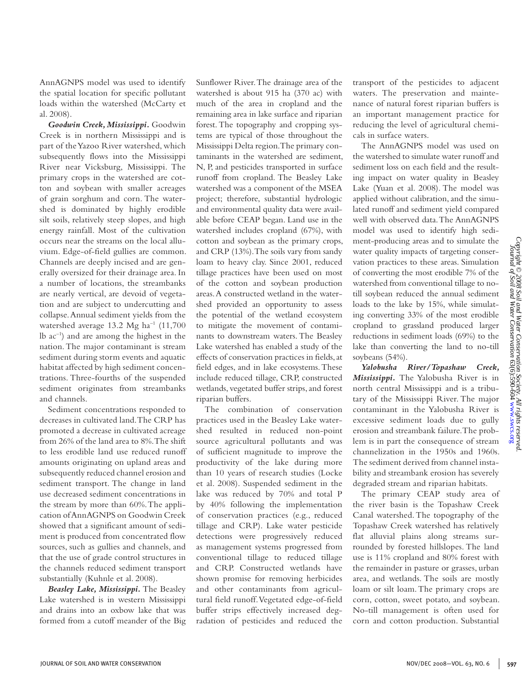AnnAGNPS model was used to identify the spatial location for specific pollutant loads within the watershed (McCarty et al. 2008).

*Goodwin Creek, Mississippi.* Goodwin Creek is in northern Mississippi and is part of the Yazoo River watershed, which subsequently flows into the Mississippi River near Vicksburg, Mississippi. The primary crops in the watershed are cotton and soybean with smaller acreages of grain sorghum and corn. The watershed is dominated by highly erodible silt soils, relatively steep slopes, and high energy rainfall. Most of the cultivation occurs near the streams on the local alluvium. Edge-of-field gullies are common. Channels are deeply incised and are generally oversized for their drainage area. In a number of locations, the streambanks are nearly vertical, are devoid of vegetation and are subject to undercutting and collapse. Annual sediment yields from the watershed average 13.2 Mg ha<sup>-1</sup> (11,700 lb  $ac^{-1}$ ) and are among the highest in the nation. The major contaminant is stream sediment during storm events and aquatic habitat affected by high sediment concentrations. Three-fourths of the suspended sediment originates from streambanks and channels.

Sediment concentrations responded to decreases in cultivated land. The CRP has promoted a decrease in cultivated acreage from 26% of the land area to 8%. The shift to less erodible land use reduced runoff amounts originating on upland areas and subsequently reduced channel erosion and sediment transport. The change in land use decreased sediment concentrations in the stream by more than 60%. The application of AnnAGNPS on Goodwin Creek showed that a significant amount of sediment is produced from concentrated flow sources, such as gullies and channels, and that the use of grade control structures in the channels reduced sediment transport substantially (Kuhnle et al. 2008).

*Beasley Lake, Mississippi.* The Beasley Lake watershed is in western Mississippi and drains into an oxbow lake that was formed from a cutoff meander of the Big Sunflower River. The drainage area of the watershed is about 915 ha (370 ac) with much of the area in cropland and the remaining area in lake surface and riparian forest. The topography and cropping systems are typical of those throughout the Mississippi Delta region. The primary contaminants in the watershed are sediment, N, P, and pesticides transported in surface runoff from cropland. The Beasley Lake watershed was a component of the MSEA project; therefore, substantial hydrologic and environmental quality data were available before CEAP began. Land use in the watershed includes cropland (67%), with cotton and soybean as the primary crops, and CRP (13%). The soils vary from sandy loam to heavy clay. Since 2001, reduced tillage practices have been used on most of the cotton and soybean production areas. A constructed wetland in the watershed provided an opportunity to assess the potential of the wetland ecosystem to mitigate the movement of contaminants to downstream waters. The Beasley Lake watershed has enabled a study of the effects of conservation practices in fields, at field edges, and in lake ecosystems. These include reduced tillage, CRP, constructed wetlands, vegetated buffer strips, and forest riparian buffers.

The combination of conservation practices used in the Beasley Lake watershed resulted in reduced non-point source agricultural pollutants and was of sufficient magnitude to improve the productivity of the lake during more than 10 years of research studies (Locke et al. 2008). Suspended sediment in the lake was reduced by 70% and total P by 40% following the implementation of conservation practices (e.g., reduced tillage and CRP). Lake water pesticide detections were progressively reduced as management systems progressed from conventional tillage to reduced tillage and CRP. Constructed wetlands have shown promise for removing herbicides and other contaminants from agricultural field runoff. Vegetated edge-of-field buffer strips effectively increased degradation of pesticides and reduced the

transport of the pesticides to adjacent waters. The preservation and maintenance of natural forest riparian buffers is an important management practice for reducing the level of agricultural chemicals in surface waters.

The AnnAGNPS model was used on the watershed to simulate water runoff and sediment loss on each field and the resulting impact on water quality in Beasley Lake (Yuan et al. 2008). The model was applied without calibration, and the simulated runoff and sediment yield compared well with observed data. The AnnAGNPS model was used to identify high sediment-producing areas and to simulate the water quality impacts of targeting conservation practices to these areas. Simulation of converting the most erodible 7% of the watershed from conventional tillage to notill soybean reduced the annual sediment loads to the lake by 15%, while simulating converting 33% of the most erodible cropland to grassland produced larger reductions in sediment loads (69%) to the lake than converting the land to no-till soybeans (54%).

*Yalobusha River/Topashaw Creek, Mississippi.* The Yalobusha River is in north central Mississippi and is a tributary of the Mississippi River. The major contaminant in the Yalobusha River is excessive sediment loads due to gully erosion and streambank failure. The problem is in part the consequence of stream channelization in the 1950s and 1960s. The sediment derived from channel instability and streambank erosion has severely degraded stream and riparian habitats.

The primary CEAP study area of the river basin is the Topashaw Creek Canal watershed. The topography of the Topashaw Creek watershed has relatively flat alluvial plains along streams surrounded by forested hillslopes. The land use is 11% cropland and 80% forest with the remainder in pasture or grasses, urban area, and wetlands. The soils are mostly loam or silt loam. The primary crops are corn, cotton, sweet potato, and soybean. No-till management is often used for corn and cotton production. Substantial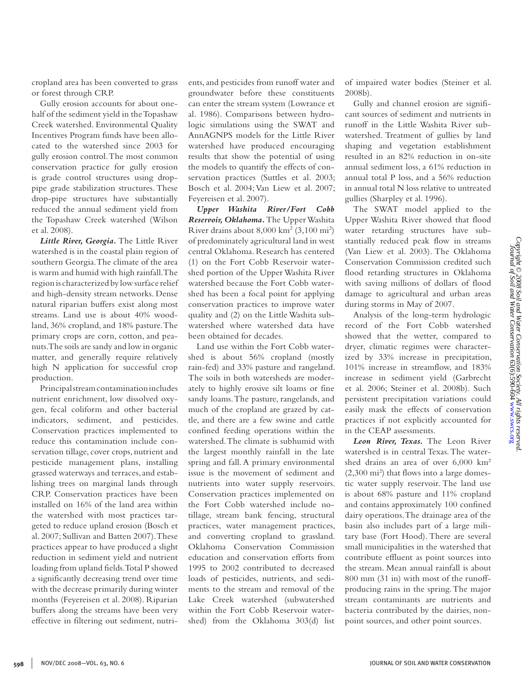cropland area has been converted to grass or forest through CRP.

Gully erosion accounts for about onehalf of the sediment yield in the Topashaw Creek watershed. Environmental Quality Incentives Program funds have been allocated to the watershed since 2003 for gully erosion control. The most common conservation practice for gully erosion is grade control structures using droppipe grade stabilization structures. These drop-pipe structures have substantially reduced the annual sediment yield from the Topashaw Creek watershed (Wilson et al. 2008).

*Little River, Georgia.* The Little River watershed is in the coastal plain region of southern Georgia. The climate of the area is warm and humid with high rainfall. The region is characterized by low surface relief and high-density stream networks. Dense natural riparian buffers exist along most streams. Land use is about 40% woodland, 36% cropland, and 18% pasture. The primary crops are corn, cotton, and peanuts. The soils are sandy and low in organic matter, and generally require relatively high N application for successful crop production.

Principal stream contamination includes nutrient enrichment, low dissolved oxygen, fecal coliform and other bacterial indicators, sediment, and pesticides. Conservation practices implemented to reduce this contamination include conservation tillage, cover crops, nutrient and pesticide management plans, installing grassed waterways and terraces, and establishing trees on marginal lands through CRP. Conservation practices have been installed on 16% of the land area within the watershed with most practices targeted to reduce upland erosion (Bosch et al. 2007; Sullivan and Batten 2007). These practices appear to have produced a slight reduction in sediment yield and nutrient loading from upland fields. Total P showed a significantly decreasing trend over time with the decrease primarily during winter months (Feyereisen et al. 2008). Riparian buffers along the streams have been very effective in filtering out sediment, nutrients, and pesticides from runoff water and groundwater before these constituents can enter the stream system (Lowrance et al. 1986). Comparisons between hydrologic simulations using the SWAT and AnnAGNPS models for the Little River watershed have produced encouraging results that show the potential of using the models to quantify the effects of conservation practices (Suttles et al. 2003; Bosch et al. 2004; Van Liew et al. 2007; Feyereisen et al. 2007).

*Upper Washita River/Fort Cobb Reservoir, Oklahoma.* The Upper Washita River drains about  $8,000 \text{ km}^2 (3,100 \text{ mi}^2)$ of predominately agricultural land in west central Oklahoma. Research has centered (1) on the Fort Cobb Reservoir watershed portion of the Upper Washita River watershed because the Fort Cobb watershed has been a focal point for applying conservation practices to improve water quality and (2) on the Little Washita subwatershed where watershed data have been obtained for decades.

Land use within the Fort Cobb watershed is about 56% cropland (mostly rain-fed) and 33% pasture and rangeland. The soils in both watersheds are moderately to highly erosive silt loams or fine sandy loams. The pasture, rangelands, and much of the cropland are grazed by cattle, and there are a few swine and cattle confined feeding operations within the watershed. The climate is subhumid with the largest monthly rainfall in the late spring and fall. A primary environmental issue is the movement of sediment and nutrients into water supply reservoirs. Conservation practices implemented on the Fort Cobb watershed include notillage, stream bank fencing, structural practices, water management practices, and converting cropland to grassland. Oklahoma Conservation Commission education and conservation efforts from 1995 to 2002 contributed to decreased loads of pesticides, nutrients, and sediments to the stream and removal of the Lake Creek watershed (subwatershed within the Fort Cobb Reservoir watershed) from the Oklahoma 303(d) list

of impaired water bodies (Steiner et al. 2008b).

Gully and channel erosion are significant sources of sediment and nutrients in runoff in the Little Washita River subwatershed. Treatment of gullies by land shaping and vegetation establishment resulted in an 82% reduction in on-site annual sediment loss, a 61% reduction in annual total P loss, and a 56% reduction in annual total N loss relative to untreated gullies (Sharpley et al. 1996).

The SWAT model applied to the Upper Washita River showed that flood water retarding structures have substantially reduced peak flow in streams (Van Liew et al. 2003). The Oklahoma Conservation Commission credited such flood retarding structures in Oklahoma with saving millions of dollars of flood damage to agricultural and urban areas during storms in May of 2007.

Analysis of the long-term hydrologic record of the Fort Cobb watershed showed that the wetter, compared to dryer, climatic regimes were characterized by 33% increase in precipitation, 101% increase in streamflow, and 183% increase in sediment yield (Garbrecht et al. 2006; Steiner et al. 2008b). Such persistent precipitation variations could easily mask the effects of conservation practices if not explicitly accounted for in the CEAP assessments.

*Leon River, Texas.* The Leon River watershed is in central Texas. The watershed drains an area of over 6,000 km2 (2,300 mi2 ) that flows into a large domestic water supply reservoir. The land use is about 68% pasture and 11% cropland and contains approximately 100 confined dairy operations. The drainage area of the basin also includes part of a large military base (Fort Hood). There are several small municipalities in the watershed that contribute effluent as point sources into the stream. Mean annual rainfall is about 800 mm (31 in) with most of the runoffproducing rains in the spring. The major stream contaminants are nutrients and bacteria contributed by the dairies, nonpoint sources, and other point sources.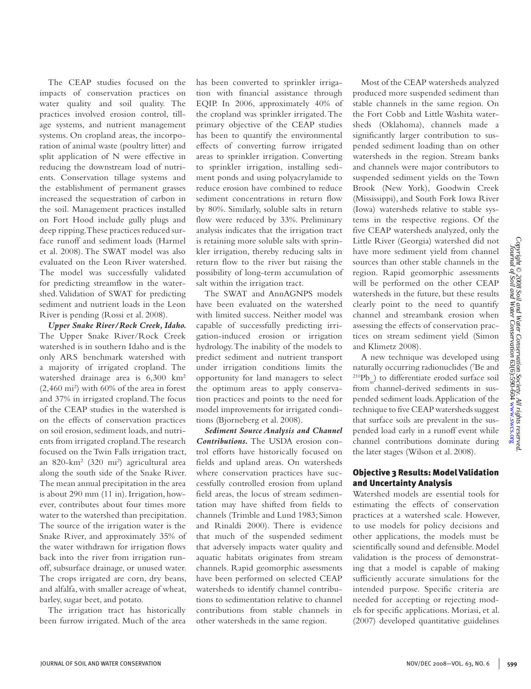The CEAP studies focused on the impacts of conservation practices on water quality and soil quality. The practices involved erosion control, tillage systems, and nutrient management systems. On cropland areas, the incorporation of animal waste (poultry litter) and split application of N were effective in reducing the downstream load of nutrients. Conservation tillage systems and the establishment of permanent grasses increased the sequestration of carbon in the soil. Management practices installed on Fort Hood include gully plugs and deep ripping. These practices reduced surface runoff and sediment loads (Harmel et al. 2008). The SWAT model was also evaluated on the Leon River watershed. The model was successfully validated for predicting streamflow in the watershed. Validation of SWAT for predicting sediment and nutrient loads in the Leon River is pending (Rossi et al. 2008).

*Upper Snake River/Rock Creek, Idaho.*  The Upper Snake River/Rock Creek watershed is in southern Idaho and is the only ARS benchmark watershed with a majority of irrigated cropland. The watershed drainage area is 6,300 km<sup>2</sup> (2,460 mi2 ) with 60% of the area in forest and 37% in irrigated cropland. The focus of the CEAP studies in the watershed is on the effects of conservation practices on soil erosion, sediment loads, and nutrients from irrigated cropland. The research focused on the Twin Falls irrigation tract, an 820-km2 (320 mi2 ) agricultural area along the south side of the Snake River. The mean annual precipitation in the area is about 290 mm (11 in). Irrigation, however, contributes about four times more water to the watershed than precipitation. The source of the irrigation water is the Snake River, and approximately 35% of the water withdrawn for irrigation flows back into the river from irrigation runoff, subsurface drainage, or unused water. The crops irrigated are corn, dry beans, and alfalfa, with smaller acreage of wheat, barley, sugar beet, and potato.

The irrigation tract has historically been furrow irrigated. Much of the area has been converted to sprinkler irrigation with financial assistance through EQIP. In 2006, approximately 40% of the cropland was sprinkler irrigated. The primary objective of the CEAP studies has been to quantify the environmental effects of converting furrow irrigated areas to sprinkler irrigation. Converting to sprinkler irrigation, installing sediment ponds and using polyacrylamide to reduce erosion have combined to reduce sediment concentrations in return flow by 80%. Similarly, soluble salts in return flow were reduced by 33%. Preliminary analysis indicates that the irrigation tract is retaining more soluble salts with sprinkler irrigation, thereby reducing salts in return flow to the river but raising the possibility of long-term accumulation of salt within the irrigation tract.

The SWAT and AnnAGNPS models have been evaluated on the watershed with limited success. Neither model was capable of successfully predicting irrigation-induced erosion or irrigation hydrology. The inability of the models to predict sediment and nutrient transport under irrigation conditions limits the opportunity for land managers to select the optimum areas to apply conservation practices and points to the need for model improvements for irrigated conditions (Bjorneberg et al. 2008).

*Sediment Source Analysis and Channel Contributions.* The USDA erosion control efforts have historically focused on fields and upland areas. On watersheds where conservation practices have successfully controlled erosion from upland field areas, the locus of stream sedimentation may have shifted from fields to channels (Trimble and Lund 1983; Simon and Rinaldi 2000). There is evidence that much of the suspended sediment that adversely impacts water quality and aquatic habitats originates from stream channels. Rapid geomorphic assessments have been performed on selected CEAP watersheds to identify channel contributions to sedimentation relative to channel contributions from stable channels in other watersheds in the same region.

Most of the CEAP watersheds analyzed produced more suspended sediment than stable channels in the same region. On the Fort Cobb and Little Washita watersheds (Oklahoma), channels made a significantly larger contribution to suspended sediment loading than on other watersheds in the region. Stream banks and channels were major contributors to suspended sediment yields on the Town Brook (New York), Goodwin Creek (Mississippi), and South Fork Iowa River (Iowa) watersheds relative to stable systems in the respective regions. Of the five CEAP watersheds analyzed, only the Little River (Georgia) watershed did not have more sediment yield from channel sources than other stable channels in the region. Rapid geomorphic assessments will be performed on the other CEAP watersheds in the future, but these results clearly point to the need to quantify channel and streambank erosion when assessing the effects of conservation practices on stream sediment yield (Simon and Klimetz 2008).

A new technique was developed using naturally occurring radionuclides (<sup>7</sup>Be and  $210Pb$ ) to differentiate eroded surface soil from channel-derived sediments in suspended sediment loads. Application of the technique to five CEAP watersheds suggest that surface soils are prevalent in the suspended load early in a runoff event while channel contributions dominate during the later stages (Wilson et al. 2008).

### Objective 3 Results: Model Validation and Uncertainty Analysis

Watershed models are essential tools for estimating the effects of conservation practices at a watershed scale. However, to use models for policy decisions and other applications, the models must be scientifically sound and defensible. Model validation is the process of demonstrating that a model is capable of making sufficiently accurate simulations for the intended purpose. Specific criteria are needed for accepting or rejecting models for specific applications. Moriasi, et al. (2007) developed quantitative guidelines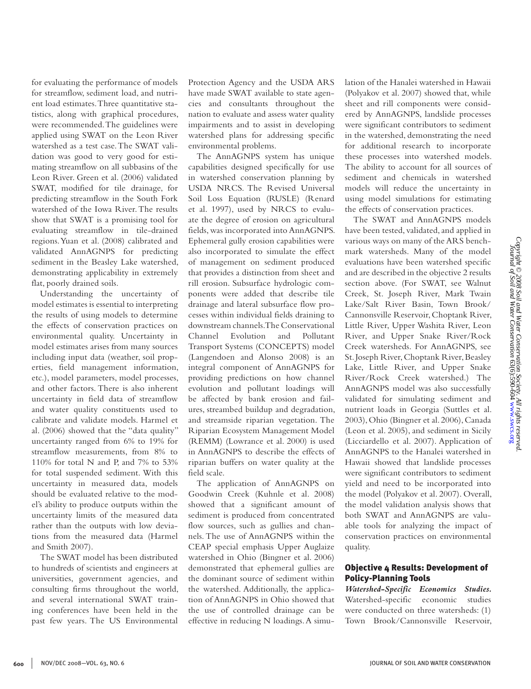The SWAT and AnnAGNPS models

Copyright © 2008 Soil and Water Conservation Society. All rights reserved<br>Uournal of Soil and Water Conservation 63(6):590-604 www.swcs.org *Copyright © 2008 Soil and Water Conservation Society. All rights reserved.* Journal of Soil and Water Conservation 63(6):590-604 [www.swcs.org](http://www.swcs.org)

for evaluating the performance of models for streamflow, sediment load, and nutrient load estimates. Three quantitative statistics, along with graphical procedures, were recommended. The guidelines were applied using SWAT on the Leon River watershed as a test case. The SWAT validation was good to very good for estimating streamflow on all subbasins of the Leon River. Green et al. (2006) validated SWAT, modified for tile drainage, for predicting streamflow in the South Fork watershed of the Iowa River. The results show that SWAT is a promising tool for evaluating streamflow in tile-drained regions. Yuan et al. (2008) calibrated and validated AnnAGNPS for predicting sediment in the Beasley Lake watershed, demonstrating applicability in extremely flat, poorly drained soils.

Understanding the uncertainty of model estimates is essential to interpreting the results of using models to determine the effects of conservation practices on environmental quality. Uncertainty in model estimates arises from many sources including input data (weather, soil properties, field management information, etc.), model parameters, model processes, and other factors. There is also inherent uncertainty in field data of streamflow and water quality constituents used to calibrate and validate models. Harmel et al. (2006) showed that the "data quality" uncertainty ranged from 6% to 19% for streamflow measurements, from 8% to 110% for total N and P, and 7% to 53% for total suspended sediment. With this uncertainty in measured data, models should be evaluated relative to the model's ability to produce outputs within the uncertainty limits of the measured data rather than the outputs with low deviations from the measured data (Harmel and Smith 2007).

The SWAT model has been distributed to hundreds of scientists and engineers at universities, government agencies, and consulting firms throughout the world, and several international SWAT training conferences have been held in the past few years. The US Environmental

Protection Agency and the USDA ARS have made SWAT available to state agencies and consultants throughout the nation to evaluate and assess water quality impairments and to assist in developing watershed plans for addressing specific environmental problems.

The AnnAGNPS system has unique capabilities designed specifically for use in watershed conservation planning by USDA NRCS. The Revised Universal Soil Loss Equation (RUSLE) (Renard et al. 1997), used by NRCS to evaluate the degree of erosion on agricultural fields, was incorporated into AnnAGNPS. Ephemeral gully erosion capabilities were also incorporated to simulate the effect of management on sediment produced that provides a distinction from sheet and rill erosion. Subsurface hydrologic components were added that describe tile drainage and lateral subsurface flow processes within individual fields draining to downstream channels. The Conservational Channel Evolution and Pollutant Transport Systems (CONCEPTS) model (Langendoen and Alonso 2008) is an integral component of AnnAGNPS for providing predictions on how channel evolution and pollutant loadings will be affected by bank erosion and failures, streambed buildup and degradation, and streamside riparian vegetation. The Riparian Ecosystem Management Model (REMM) (Lowrance et al. 2000) is used in AnnAGNPS to describe the effects of riparian buffers on water quality at the field scale.

The application of AnnAGNPS on Goodwin Creek (Kuhnle et al. 2008) showed that a significant amount of sediment is produced from concentrated flow sources, such as gullies and channels. The use of AnnAGNPS within the CEAP special emphasis Upper Auglaize watershed in Ohio (Bingner et al. 2006) demonstrated that ephemeral gullies are the dominant source of sediment within the watershed. Additionally, the application of AnnAGNPS in Ohio showed that the use of controlled drainage can be effective in reducing N loadings. A simulation of the Hanalei watershed in Hawaii (Polyakov et al. 2007) showed that, while sheet and rill components were considered by AnnAGNPS, landslide processes were significant contributors to sediment in the watershed, demonstrating the need for additional research to incorporate these processes into watershed models. The ability to account for all sources of sediment and chemicals in watershed models will reduce the uncertainty in using model simulations for estimating the effects of conservation practices.

have been tested, validated, and applied in various ways on many of the ARS benchmark watersheds. Many of the model evaluations have been watershed specific and are described in the objective 2 results section above. (For SWAT, see Walnut Creek, St. Joseph River, Mark Twain Lake/Salt River Basin, Town Brook/ Cannonsville Reservoir, Choptank River, Little River, Upper Washita River, Leon River, and Upper Snake River/Rock Creek watersheds. For AnnAGNPS, see St. Joseph River, Choptank River, Beasley Lake, Little River, and Upper Snake River/Rock Creek watershed.) The AnnAGNPS model was also successfully validated for simulating sediment and nutrient loads in Georgia (Suttles et al. 2003), Ohio (Bingner et al. 2006), Canada (Leon et al. 2005), and sediment in Sicily (Licciardello et al. 2007). Application of AnnAGNPS to the Hanalei watershed in Hawaii showed that landslide processes were significant contributors to sediment yield and need to be incorporated into the model (Polyakov et al. 2007). Overall, the model validation analysis shows that both SWAT and AnnAGNPS are valuable tools for analyzing the impact of conservation practices on environmental quality.

# Objective 4 Results: Development of Policy-Planning Tools

*Watershed-Specific Economics Studies.*  Watershed-specific economic studies were conducted on three watersheds: (1) Town Brook/Cannonsville Reservoir,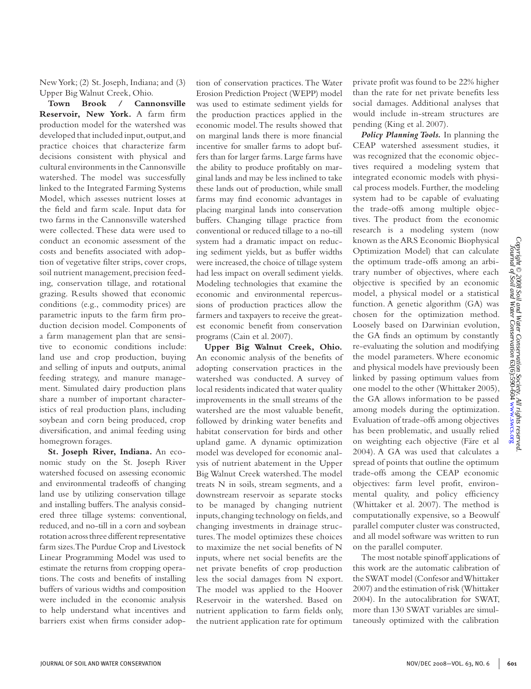New York; (2) St. Joseph, Indiana; and (3) Upper Big Walnut Creek, Ohio.

**Town Brook / Cannonsville Reservoir, New York.** A farm firm production model for the watershed was developed that included input, output, and practice choices that characterize farm decisions consistent with physical and cultural environments in the Cannonsville watershed. The model was successfully linked to the Integrated Farming Systems Model, which assesses nutrient losses at the field and farm scale. Input data for two farms in the Cannonsville watershed were collected. These data were used to conduct an economic assessment of the costs and benefits associated with adoption of vegetative filter strips, cover crops, soil nutrient management, precision feeding, conservation tillage, and rotational grazing. Results showed that economic conditions (e.g., commodity prices) are parametric inputs to the farm firm production decision model. Components of a farm management plan that are sensitive to economic conditions include: land use and crop production, buying and selling of inputs and outputs, animal feeding strategy, and manure management. Simulated dairy production plans share a number of important characteristics of real production plans, including soybean and corn being produced, crop diversification, and animal feeding using homegrown forages.

**St. Joseph River, Indiana.** An economic study on the St. Joseph River watershed focused on assessing economic and environmental tradeoffs of changing land use by utilizing conservation tillage and installing buffers. The analysis considered three tillage systems: conventional, reduced, and no-till in a corn and soybean rotation across three different representative farm sizes. The Purdue Crop and Livestock Linear Programming Model was used to estimate the returns from cropping operations. The costs and benefits of installing buffers of various widths and composition were included in the economic analysis to help understand what incentives and barriers exist when firms consider adoption of conservation practices. The Water Erosion Prediction Project (WEPP) model was used to estimate sediment yields for the production practices applied in the economic model. The results showed that on marginal lands there is more financial incentive for smaller farms to adopt buffers than for larger farms. Large farms have the ability to produce profitably on marginal lands and may be less inclined to take these lands out of production, while small farms may find economic advantages in placing marginal lands into conservation buffers. Changing tillage practice from conventional or reduced tillage to a no-till system had a dramatic impact on reducing sediment yields, but as buffer widths were increased, the choice of tillage system had less impact on overall sediment yields. Modeling technologies that examine the economic and environmental repercussions of production practices allow the farmers and taxpayers to receive the greatest economic benefit from conservation programs (Cain et al. 2007).

**Upper Big Walnut Creek, Ohio.** An economic analysis of the benefits of adopting conservation practices in the watershed was conducted. A survey of local residents indicated that water quality improvements in the small streams of the watershed are the most valuable benefit, followed by drinking water benefits and habitat conservation for birds and other upland game. A dynamic optimization model was developed for economic analysis of nutrient abatement in the Upper Big Walnut Creek watershed. The model treats N in soils, stream segments, and a downstream reservoir as separate stocks to be managed by changing nutrient inputs, changing technology on fields, and changing investments in drainage structures. The model optimizes these choices to maximize the net social benefits of N inputs, where net social benefits are the net private benefits of crop production less the social damages from N export. The model was applied to the Hoover Reservoir in the watershed. Based on nutrient application to farm fields only, the nutrient application rate for optimum

private profit was found to be 22% higher than the rate for net private benefits less social damages. Additional analyses that would include in-stream structures are pending (King et al. 2007).

*Policy Planning Tools.* In planning the CEAP watershed assessment studies, it was recognized that the economic objectives required a modeling system that integrated economic models with physical process models. Further, the modeling system had to be capable of evaluating the trade-offs among multiple objectives. The product from the economic research is a modeling system (now known as the ARS Economic Biophysical Optimization Model) that can calculate the optimum trade-offs among an arbitrary number of objectives, where each objective is specified by an economic model, a physical model or a statistical function. A genetic algorithm (GA) was chosen for the optimization method. Loosely based on Darwinian evolution, the GA finds an optimum by constantly re-evaluating the solution and modifying the model parameters. Where economic and physical models have previously been linked by passing optimum values from one model to the other (Whittaker 2005), the GA allows information to be passed among models during the optimization. Evaluation of trade-offs among objectives has been problematic, and usually relied on weighting each objective (Färe et al 2004). A GA was used that calculates a spread of points that outline the optimum trade-offs among the CEAP economic objectives: farm level profit, environmental quality, and policy efficiency (Whittaker et al. 2007). The method is computationally expensive, so a Beowulf parallel computer cluster was constructed, and all model software was written to run on the parallel computer.

The most notable spinoff applications of this work are the automatic calibration of the SWAT model (Confesor and Whittaker 2007) and the estimation of risk (Whittaker 2004). In the autocalibration for SWAT, more than 130 SWAT variables are simultaneously optimized with the calibration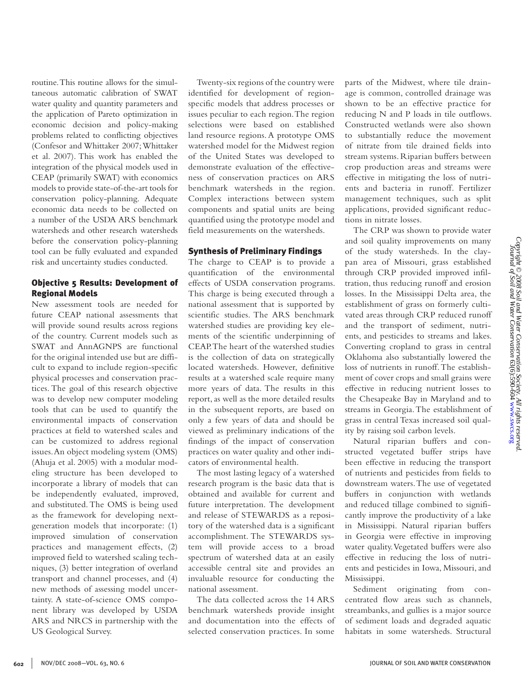routine. This routine allows for the simultaneous automatic calibration of SWAT water quality and quantity parameters and the application of Pareto optimization in economic decision and policy-making problems related to conflicting objectives (Confesor and Whittaker 2007; Whittaker et al. 2007). This work has enabled the integration of the physical models used in CEAP (primarily SWAT) with economics models to provide state-of-the-art tools for conservation policy-planning. Adequate economic data needs to be collected on a number of the USDA ARS benchmark watersheds and other research watersheds before the conservation policy-planning tool can be fully evaluated and expanded risk and uncertainty studies conducted.

# Objective 5 Results: Development of Regional Models

New assessment tools are needed for future CEAP national assessments that will provide sound results across regions of the country. Current models such as SWAT and AnnAGNPS are functional for the original intended use but are difficult to expand to include region-specific physical processes and conservation practices. The goal of this research objective was to develop new computer modeling tools that can be used to quantify the environmental impacts of conservation practices at field to watershed scales and can be customized to address regional issues. An object modeling system (OMS) (Ahuja et al. 2005) with a modular modeling structure has been developed to incorporate a library of models that can be independently evaluated, improved, and substituted. The OMS is being used as the framework for developing nextgeneration models that incorporate: (1) improved simulation of conservation practices and management effects, (2) improved field to watershed scaling techniques, (3) better integration of overland transport and channel processes, and (4) new methods of assessing model uncertainty. A state-of-science OMS component library was developed by USDA ARS and NRCS in partnership with the US Geological Survey.

Twenty-six regions of the country were identified for development of regionspecific models that address processes or issues peculiar to each region. The region selections were based on established land resource regions. A prototype OMS watershed model for the Midwest region of the United States was developed to demonstrate evaluation of the effectiveness of conservation practices on ARS benchmark watersheds in the region. Complex interactions between system components and spatial units are being quantified using the prototype model and field measurements on the watersheds.

### Synthesis of Preliminary Findings

The charge to CEAP is to provide a quantification of the environmental effects of USDA conservation programs. This charge is being executed through a national assessment that is supported by scientific studies. The ARS benchmark watershed studies are providing key elements of the scientific underpinning of CEAP. The heart of the watershed studies is the collection of data on strategically located watersheds. However, definitive results at a watershed scale require many more years of data. The results in this report, as well as the more detailed results in the subsequent reports, are based on only a few years of data and should be viewed as preliminary indications of the findings of the impact of conservation practices on water quality and other indicators of environmental health.

The most lasting legacy of a watershed research program is the basic data that is obtained and available for current and future interpretation. The development and release of STEWARDS as a repository of the watershed data is a significant accomplishment. The STEWARDS system will provide access to a broad spectrum of watershed data at an easily accessible central site and provides an invaluable resource for conducting the national assessment.

The data collected across the 14 ARS benchmark watersheds provide insight and documentation into the effects of selected conservation practices. In some

parts of the Midwest, where tile drainage is common, controlled drainage was shown to be an effective practice for reducing N and P loads in tile outflows. Constructed wetlands were also shown to substantially reduce the movement of nitrate from tile drained fields into stream systems. Riparian buffers between crop production areas and streams were effective in mitigating the loss of nutrients and bacteria in runoff. Fertilizer management techniques, such as split applications, provided significant reductions in nitrate losses.

The CRP was shown to provide water and soil quality improvements on many of the study watersheds. In the claypan area of Missouri, grass established through CRP provided improved infiltration, thus reducing runoff and erosion losses. In the Mississippi Delta area, the establishment of grass on formerly cultivated areas through CRP reduced runoff and the transport of sediment, nutrients, and pesticides to streams and lakes. Converting cropland to grass in central Oklahoma also substantially lowered the loss of nutrients in runoff. The establishment of cover crops and small grains were effective in reducing nutrient losses to the Chesapeake Bay in Maryland and to streams in Georgia. The establishment of grass in central Texas increased soil quality by raising soil carbon levels.

Natural riparian buffers and constructed vegetated buffer strips have been effective in reducing the transport of nutrients and pesticides from fields to downstream waters. The use of vegetated buffers in conjunction with wetlands and reduced tillage combined to significantly improve the productivity of a lake in Mississippi. Natural riparian buffers in Georgia were effective in improving water quality. Vegetated buffers were also effective in reducing the loss of nutrients and pesticides in Iowa, Missouri, and Mississippi.

Sediment originating from concentrated flow areas such as channels, streambanks, and gullies is a major source of sediment loads and degraded aquatic habitats in some watersheds. Structural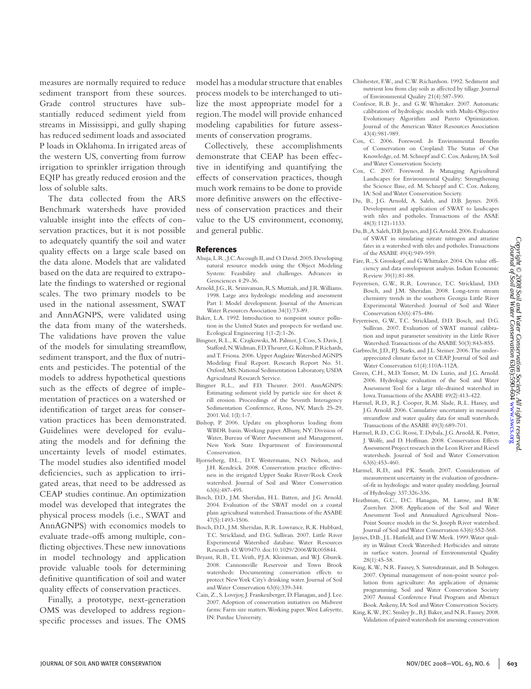measures are normally required to reduce sediment transport from these sources. Grade control structures have substantially reduced sediment yield from streams in Mississippi, and gully shaping has reduced sediment loads and associated P loads in Oklahoma. In irrigated areas of the western US, converting from furrow irrigation to sprinkler irrigation through EQIP has greatly reduced erosion and the loss of soluble salts.

The data collected from the ARS Benchmark watersheds have provided valuable insight into the effects of conservation practices, but it is not possible to adequately quantify the soil and water quality effects on a large scale based on the data alone. Models that are validated based on the data are required to extrapolate the findings to watershed or regional scales. The two primary models to be used in the national assessment, SWAT and AnnAGNPS, were validated using the data from many of the watersheds. The validations have proven the value of the models for simulating streamflow, sediment transport, and the flux of nutrients and pesticides. The potential of the models to address hypothetical questions such as the effects of degree of implementation of practices on a watershed or identification of target areas for conservation practices has been demonstrated. Guidelines were developed for evaluating the models and for defining the uncertainty levels of model estimates. The model studies also identified model deficiencies, such as application to irrigated areas, that need to be addressed as CEAP studies continue. An optimization model was developed that integrates the physical process models (i.e., SWAT and AnnAGNPS) with economics models to evaluate trade-offs among multiple, conflicting objectives. These new innovations in model technology and application provide valuable tools for determining definitive quantification of soil and water quality effects of conservation practices.

Finally, a prototype, next-generation OMS was developed to address regionspecific processes and issues. The OMS model has a modular structure that enables process models to be interchanged to utilize the most appropriate model for a region. The model will provide enhanced modeling capabilities for future assessments of conservation programs.

Collectively, these accomplishments demonstrate that CEAP has been effective in identifying and quantifying the effects of conservation practices, though much work remains to be done to provide more definitive answers on the effectiveness of conservation practices and their value to the US environment, economy, and general public.

#### References

- Ahuja, L.R., J.C. Ascough II, and O. David. 2005. Developing natural resource models using the Object Modeling System: Feasibility and challenges. Advances in Geosciences 4:29-36.
- Arnold, J.G., R. Srinivansan, R.S. Muttiah, and J.R. Williams. 1998. Large area hydrologic modeling and assessment Part I: Model development. Journal of the American Water Resources Association 34(1):73-89.
- Baker, L.A. 1992. Introduction to nonpoint source pollution in the United States and prospects for wetland use. Ecological Engineering 1(1-2):1-26.
- Bingner, R.L., K. Czajkowski, M. Palmer, J. Coss, S. Davis, J. Stafford, N. Widman, F.D. Theurer, G. Koltun, P. Richards, and T. Friona. 2006. Upper Auglaize Watershed AGNPS Modeling Final Report. Research Report No. 51. Oxford, MS: National Sedimentation Laboratory, USDA Agricultural Research Service.
- Bingner R.L., and F.D. Theurer. 2001. AnnAGNPS: Estimating sediment yield by particle size for sheet & rill erosion. Proceedings of the Seventh Interagency Sedimentation Conference, Reno, NV, March 25-29, 2001. Vol. 1(I):1-7.
- Bishop, P. 2006. Update on phosphorus loading from WBDR basin. Working paper. Albany, NY: Division of Water, Bureau of Water Assessment and Management, New York State Department of Environmental Conservation.
- Bjorneberg, D.L., D.T. Westermann, N.O. Nelson, and J.H. Kendrick. 2008. Conservation practice effectiveness in the irrigated Upper Snake River/Rock Creek watershed. Journal of Soil and Water Conservation 63(6):487-495.
- Bosch, D.D., J.M. Sheridan, H.L. Batten, and J.G. Arnold. 2004. Evaluation of the SWAT model on a coastal plain agricultural watershed. Transactions of the ASABE  $47(5) \cdot 1493 - 1506$
- Bosch, D.D., J.M. Sheridan, R.R. Lowrance, R.K. Hubbard, T.C. Strickland, and D.G. Sullivan. 2007. Little River Experimental Watershed database. Water Resources Research 43:W09470. doi:10.1029/2006WR005844.
- Bryant, R.B., T.L. Veith, P.J.A. Kleinman, and W.J. Gburek. 2008. Cannonsville Reservoir and Town Brook watersheds: Documenting conservation effects to protect New York City's drinking water. Journal of Soil and Water Conservation 63(6):339-344.
- Cain, Z., S. Lovejoy, J. Frankenberger, D. Flanagan, and J. Lee. 2007. Adoption of conservation initiatives on Midwest farms: Farm size matters. Working paper. West Lafeyette, IN: Purdue University.
- Chishester, F.W., and C.W. Richardson. 1992. Sediment and nutrient loss from clay soils as affected by tillage. Journal of Environmental Quality 21(4):587-590.
- Confesor, R.B. Jr., and G.W. Whittaker. 2007. Automatic calibration of hydrologic models with Multi-Objective Evolutionary Algorithm and Pareto Optimization. Journal of the American Water Resources Association 43(4):981-989.
- Cox, C. 2006. Foreword. *In* Environmental Benefits of Conservation on Cropland: The Status of Our Knowledge, ed. M. Schnepf and C. Cox. Ankeny, IA: Soil and Water Conservation Society.
- Cox, C. 2007. Foreword. *In* Managing Agricultural Landscapes for Environmental Quality: Strengthening the Science Base, ed. M. Schnepf and C. Cox. Ankeny, IA: Soil and Water Conservation Society.
- Du, B., J.G. Arnold, A. Saleh, and D.B. Jaynes. 2005. Development and application of SWAT to landscapes with tiles and potholes. Transactions of the ASAE 48(3):1121-1133.
- Du, B., A. Saleh, D.B. Jaynes, and J.G. Arnold. 2006. Evaluation of SWAT in simulating nitrate nitrogen and atrazine fates in a watershed with tiles and potholes. Transactions of the ASABE 49(4):949-959.
- Färe, R., S. Grosskopf, and G. Whittaker. 2004. On value efficiency and data envelopment analysis. Indian Economic Review 39(1):81-88.
- Feyereisen, G.W., R.R. Lowrance, T.C. Strickland, D.D. Bosch, and J.M. Sheridan. 2008. Long-term stream chemistry trends in the southern Georgia Little River Experimental Watershed. Journal of Soil and Water Conservation 63(6):475-486.
- Feyereisen, G.W., T.C. Strickland, D.D. Bosch, and D.G. Sullivan. 2007. Evaluation of SWAT manual calibration and input parameter sensitivity in the Little River Watershed. Transactions of the ASABE 50(3):843-855.
- Garbrecht, J.D., P.J. Starks, and J.L. Steiner. 2006. The underappreciated climate factor in CEAP. Journal of Soil and Water Conservation 61(4):110A-112A.
- Green, C.H., M.D. Tomer, M. Di Luzio, and J.G. Arnold. 2006. Hydrologic evaluation of the Soil and Water Assessment Tool for a large tile-drained watershed in Iowa. Transactions of the ASABE 49(2):413-422.
- Harmel, R.D., R.J. Cooper, R.M. Slade, R.L. Haney, and J.G. Arnold. 2006. Cumulative uncertainty in measured streamflow and water quality data for small watersheds. Transactions of the ASABE 49(3):689-701.
- Harmel, R.D., C.G. Rossi, T. Dybala, J.G. Arnold, K. Potter, J. Wolfe, and D. Hoffman. 2008. Conservation Effects Assessment Project research in the Leon River and Riesel watersheds. Journal of Soil and Water Conservation 63(6):453-460.
- Harmel, R.D., and P.K. Smith. 2007. Consideration of measurement uncertainty in the evaluation of goodnessof-fit in hydrologic and water quality modeling. Journal of Hydrology 337:326-336.
- Heathman, G.C., D.C. Flanagan, M. Larose, and B.W. Zuercher. 2008. Application of the Soil and Water Assessment Tool and Annualized Agricultural Non-Point Source models in the St. Joseph River watershed. Journal of Soil and Water Conservation 63(6):552-568.
- Jaynes, D.B., J.L. Hatfield, and D.W. Meek. 1999. Water quality in Walnut Creek Watershed: Herbicides and nitrate in surface waters. Journal of Environmental Quality 28(1):45-58.
- King, K.W., N.R. Fausey, S. Surendrannair, and B. Sohngen. 2007. Optimal management of non-point source pollution from agriculture: An application of dynamic programming. Soil and Water Conservation Society 2007 Annual Conference Final Program and Abstract Book. Ankeny, IA: Soil and Water Conservation Society.
- King, K.W., P.C. Smiley Jr., B.J. Baker, and N.R. Fausey. 2008. Validation of paired watersheds for assessing conservation